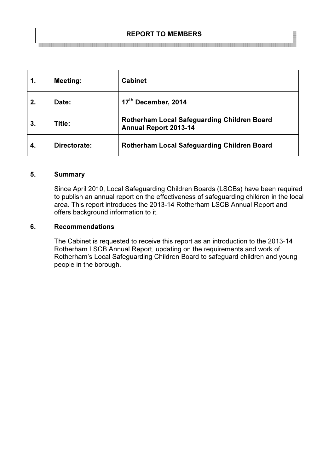## REPORT TO MEMBERS .<br>이 100 원은 100 원은 100 원은 100 원은 100 원은 100 원은 100 원은 100 원은 100 원은 100 원은 100 원은 100 원은 100 원은 100 원은 100 원은 100 원은 100 원은 100 원은 100 원은 100 원은 100 원

|             | <b>Meeting:</b> | <b>Cabinet</b>                                                              |
|-------------|-----------------|-----------------------------------------------------------------------------|
| $2_{\cdot}$ | Date:           | 17th December, 2014                                                         |
|             | Title:          | Rotherham Local Safeguarding Children Board<br><b>Annual Report 2013-14</b> |
|             | Directorate:    | Rotherham Local Safeguarding Children Board                                 |

#### 5. Summary

Since April 2010, Local Safeguarding Children Boards (LSCBs) have been required to publish an annual report on the effectiveness of safeguarding children in the local area. This report introduces the 2013-14 Rotherham LSCB Annual Report and offers background information to it.

# 6. Recommendations

The Cabinet is requested to receive this report as an introduction to the 2013-14 Rotherham LSCB Annual Report, updating on the requirements and work of Rotherham's Local Safeguarding Children Board to safeguard children and young people in the borough.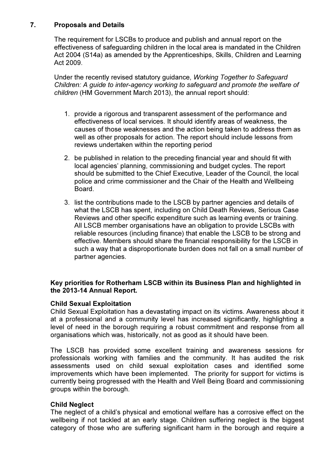# 7. Proposals and Details

The requirement for LSCBs to produce and publish and annual report on the effectiveness of safeguarding children in the local area is mandated in the Children Act 2004 (S14a) as amended by the Apprenticeships, Skills, Children and Learning Act 2009.

Under the recently revised statutory guidance, Working Together to Safeguard Children: A guide to inter-agency working to safeguard and promote the welfare of children (HM Government March 2013), the annual report should:

- 1. provide a rigorous and transparent assessment of the performance and effectiveness of local services. It should identify areas of weakness, the causes of those weaknesses and the action being taken to address them as well as other proposals for action. The report should include lessons from reviews undertaken within the reporting period
- 2. be published in relation to the preceding financial year and should fit with local agencies' planning, commissioning and budget cycles. The report should be submitted to the Chief Executive, Leader of the Council, the local police and crime commissioner and the Chair of the Health and Wellbeing Board.
- 3. list the contributions made to the LSCB by partner agencies and details of what the LSCB has spent, including on Child Death Reviews, Serious Case Reviews and other specific expenditure such as learning events or training. All LSCB member organisations have an obligation to provide LSCBs with reliable resources (including finance) that enable the LSCB to be strong and effective. Members should share the financial responsibility for the LSCB in such a way that a disproportionate burden does not fall on a small number of partner agencies.

# Key priorities for Rotherham LSCB within its Business Plan and highlighted in the 2013-14 Annual Report.

# Child Sexual Exploitation

Child Sexual Exploitation has a devastating impact on its victims. Awareness about it at a professional and a community level has increased significantly, highlighting a level of need in the borough requiring a robust commitment and response from all organisations which was, historically, not as good as it should have been.

The LSCB has provided some excellent training and awareness sessions for professionals working with families and the community. It has audited the risk assessments used on child sexual exploitation cases and identified some improvements which have been implemented. The priority for support for victims is currently being progressed with the Health and Well Being Board and commissioning groups within the borough.

# Child Neglect

The neglect of a child's physical and emotional welfare has a corrosive effect on the wellbeing if not tackled at an early stage. Children suffering neglect is the biggest category of those who are suffering significant harm in the borough and require a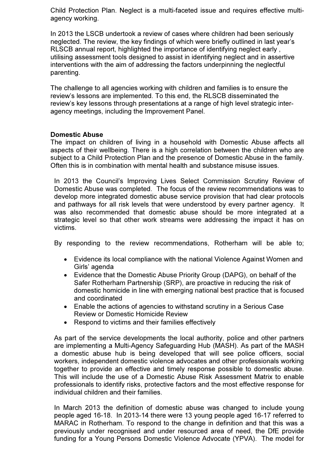Child Protection Plan. Neglect is a multi-faceted issue and requires effective multiagency working.

In 2013 the LSCB undertook a review of cases where children had been seriously neglected. The review, the key findings of which were briefly outlined in last year's RLSCB annual report, highlighted the importance of identifying neglect early , utilising assessment tools designed to assist in identifying neglect and in assertive interventions with the aim of addressing the factors underpinning the neglectful parenting.

The challenge to all agencies working with children and families is to ensure the review's lessons are implemented. To this end, the RLSCB disseminated the review's key lessons through presentations at a range of high level strategic interagency meetings, including the Improvement Panel.

## Domestic Abuse

The impact on children of living in a household with Domestic Abuse affects all aspects of their wellbeing. There is a high correlation between the children who are subject to a Child Protection Plan and the presence of Domestic Abuse in the family. Often this is in combination with mental health and substance misuse issues.

In 2013 the Council's Improving Lives Select Commission Scrutiny Review of Domestic Abuse was completed. The focus of the review recommendations was to develop more integrated domestic abuse service provision that had clear protocols and pathways for all risk levels that were understood by every partner agency. It was also recommended that domestic abuse should be more integrated at a strategic level so that other work streams were addressing the impact it has on victims.

By responding to the review recommendations, Rotherham will be able to;

- Evidence its local compliance with the national Violence Against Women and Girls' agenda
- Evidence that the Domestic Abuse Priority Group (DAPG), on behalf of the Safer Rotherham Partnership (SRP), are proactive in reducing the risk of domestic homicide in line with emerging national best practice that is focused and coordinated
- Enable the actions of agencies to withstand scrutiny in a Serious Case Review or Domestic Homicide Review
- Respond to victims and their families effectively

As part of the service developments the local authority, police and other partners are implementing a Multi-Agency Safeguarding Hub (MASH). As part of the MASH a domestic abuse hub is being developed that will see police officers, social workers, independent domestic violence advocates and other professionals working together to provide an effective and timely response possible to domestic abuse. This will include the use of a Domestic Abuse Risk Assessment Matrix to enable professionals to identify risks, protective factors and the most effective response for individual children and their families.

In March 2013 the definition of domestic abuse was changed to include young people aged 16-18. In 2013-14 there were 13 young people aged 16-17 referred to MARAC in Rotherham. To respond to the change in definition and that this was a previously under recognised and under resourced area of need, the DfE provide funding for a Young Persons Domestic Violence Advocate (YPVA). The model for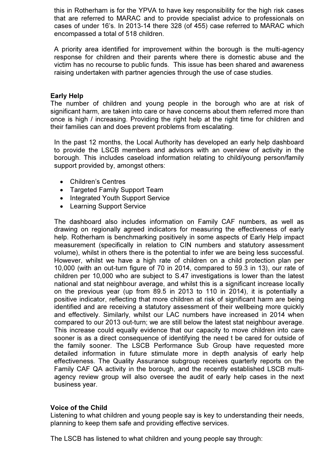this in Rotherham is for the YPVA to have key responsibility for the high risk cases that are referred to MARAC and to provide specialist advice to professionals on cases of under 16's. In 2013-14 there 328 (of 455) case referred to MARAC which encompassed a total of 518 children.

A priority area identified for improvement within the borough is the multi-agency response for children and their parents where there is domestic abuse and the victim has no recourse to public funds. This issue has been shared and awareness raising undertaken with partner agencies through the use of case studies.

## Early Help

The number of children and young people in the borough who are at risk of significant harm, are taken into care or have concerns about them referred more than once is high / increasing. Providing the right help at the right time for children and their families can and does prevent problems from escalating.

In the past 12 months, the Local Authority has developed an early help dashboard to provide the LSCB members and advisors with an overview of activity in the borough. This includes caseload information relating to child/young person/family support provided by, amongst others:

- Children's Centres
- Targeted Family Support Team
- Integrated Youth Support Service
- Learning Support Service

The dashboard also includes information on Family CAF numbers, as well as drawing on regionally agreed indicators for measuring the effectiveness of early help. Rotherham is benchmarking positively in some aspects of Early Help impact measurement (specifically in relation to CIN numbers and statutory assessment volume), whilst in others there is the potential to infer we are being less successful. However, whilst we have a high rate of children on a child protection plan per 10,000 (with an out-turn figure of 70 in 2014, compared to 59.3 in 13), our rate of children per 10,000 who are subject to S.47 investigations is lower than the latest national and stat neighbour average, and whilst this is a significant increase locally on the previous year (up from 89.5 in 2013 to 110 in 2014), it is potentially a positive indicator, reflecting that more children at risk of significant harm are being identified and are receiving a statutory assessment of their wellbeing more quickly and effectively. Similarly, whilst our LAC numbers have increased in 2014 when compared to our 2013 out-turn; we are still below the latest stat neighbour average. This increase could equally evidence that our capacity to move children into care sooner is as a direct consequence of identifying the need t be cared for outside of the family sooner. The LSCB Performance Sub Group have requested more detailed information in future stimulate more in depth analysis of early help effectiveness. The Quality Assurance subgroup receives quarterly reports on the Family CAF QA activity in the borough, and the recently established LSCB multiagency review group will also oversee the audit of early help cases in the next business year.

#### Voice of the Child

Listening to what children and young people say is key to understanding their needs, planning to keep them safe and providing effective services.

The LSCB has listened to what children and young people say through: